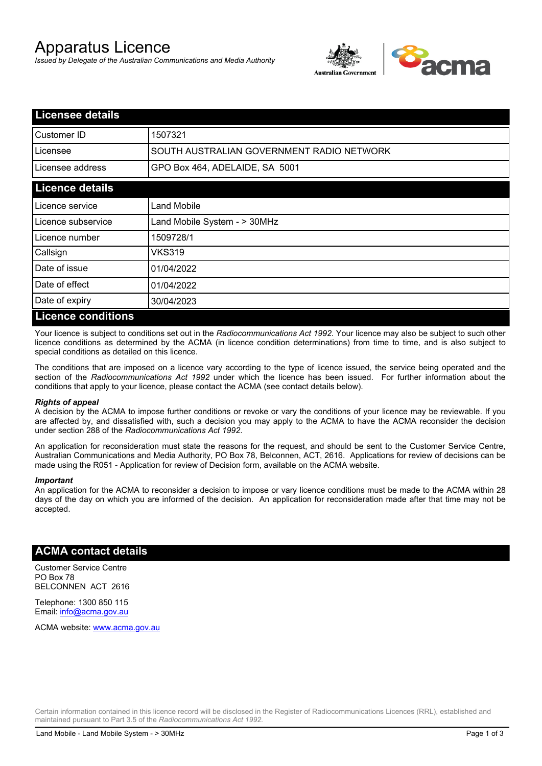# Apparatus Licence

*Issued by Delegate of the Australian Communications and Media Authority*



| <b>Licensee details</b>   |                                           |  |
|---------------------------|-------------------------------------------|--|
| Customer ID               | 1507321                                   |  |
| Licensee                  | SOUTH AUSTRALIAN GOVERNMENT RADIO NETWORK |  |
| Licensee address          | GPO Box 464, ADELAIDE, SA 5001            |  |
| <b>Licence details</b>    |                                           |  |
| Licence service           | Land Mobile                               |  |
| Licence subservice        | Land Mobile System - > 30MHz              |  |
| Licence number            | 1509728/1                                 |  |
| Callsign                  | VKS319                                    |  |
| Date of issue             | 01/04/2022                                |  |
| Date of effect            | 01/04/2022                                |  |
| Date of expiry            | 30/04/2023                                |  |
| <b>Licence conditions</b> |                                           |  |

Your licence is subject to conditions set out in the *Radiocommunications Act 1992*. Your licence may also be subject to such other licence conditions as determined by the ACMA (in licence condition determinations) from time to time, and is also subject to special conditions as detailed on this licence.

The conditions that are imposed on a licence vary according to the type of licence issued, the service being operated and the section of the *Radiocommunications Act 1992* under which the licence has been issued. For further information about the conditions that apply to your licence, please contact the ACMA (see contact details below).

#### *Rights of appeal*

A decision by the ACMA to impose further conditions or revoke or vary the conditions of your licence may be reviewable. If you are affected by, and dissatisfied with, such a decision you may apply to the ACMA to have the ACMA reconsider the decision under section 288 of the *Radiocommunications Act 1992*.

An application for reconsideration must state the reasons for the request, and should be sent to the Customer Service Centre, Australian Communications and Media Authority, PO Box 78, Belconnen, ACT, 2616. Applications for review of decisions can be made using the R051 - Application for review of Decision form, available on the ACMA website.

#### *Important*

An application for the ACMA to reconsider a decision to impose or vary licence conditions must be made to the ACMA within 28 days of the day on which you are informed of the decision. An application for reconsideration made after that time may not be accepted.

### **ACMA contact details**

Customer Service Centre PO Box 78 BELCONNEN ACT 2616

Telephone: 1300 850 115 Email: info@acma.gov.au

ACMA website: www.acma.gov.au

Certain information contained in this licence record will be disclosed in the Register of Radiocommunications Licences (RRL), established and maintained pursuant to Part 3.5 of the *Radiocommunications Act 1992.*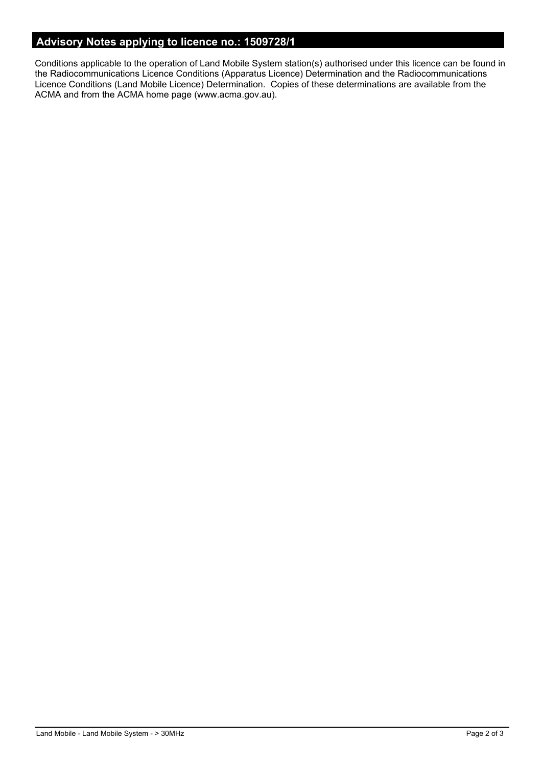# **Advisory Notes applying to licence no.: 1509728/1**

Conditions applicable to the operation of Land Mobile System station(s) authorised under this licence can be found in the Radiocommunications Licence Conditions (Apparatus Licence) Determination and the Radiocommunications Licence Conditions (Land Mobile Licence) Determination. Copies of these determinations are available from the ACMA and from the ACMA home page (www.acma.gov.au).